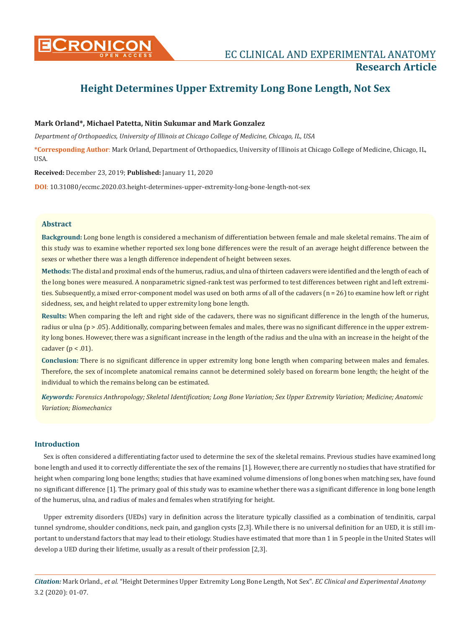

# **Height Determines Upper Extremity Long Bone Length, Not Sex**

# **Mark Orland\*, Michael Patetta, Nitin Sukumar and Mark Gonzalez**

*Department of Orthopaedics, University of Illinois at Chicago College of Medicine, Chicago, IL, USA*

**\*Corresponding Author**: Mark Orland, Department of Orthopaedics, University of Illinois at Chicago College of Medicine, Chicago, IL, USA.

**Received:** December 23, 2019; **Published:** January 11, 2020

**DOI**: 10.31080/eccmc.2020.03.height-determines-upper-extremity-long-bone-length-not-sex

# **Abstract**

**Background:** Long bone length is considered a mechanism of differentiation between female and male skeletal remains. The aim of this study was to examine whether reported sex long bone differences were the result of an average height difference between the sexes or whether there was a length difference independent of height between sexes.

**Methods:** The distal and proximal ends of the humerus, radius, and ulna of thirteen cadavers were identified and the length of each of the long bones were measured. A nonparametric signed-rank test was performed to test differences between right and left extremities. Subsequently, a mixed error-component model was used on both arms of all of the cadavers (n = 26) to examine how left or right sidedness, sex, and height related to upper extremity long bone length.

**Results:** When comparing the left and right side of the cadavers, there was no significant difference in the length of the humerus, radius or ulna (p > .05). Additionally, comparing between females and males, there was no significant difference in the upper extremity long bones. However, there was a significant increase in the length of the radius and the ulna with an increase in the height of the cadaver ( $p < .01$ ).

**Conclusion:** There is no significant difference in upper extremity long bone length when comparing between males and females. Therefore, the sex of incomplete anatomical remains cannot be determined solely based on forearm bone length; the height of the individual to which the remains belong can be estimated.

*Keywords: Forensics Anthropology; Skeletal Identification; Long Bone Variation; Sex Upper Extremity Variation; Medicine; Anatomic Variation; Biomechanics*

# **Introduction**

Sex is often considered a differentiating factor used to determine the sex of the skeletal remains. Previous studies have examined long bone length and used it to correctly differentiate the sex of the remains [1]. However, there are currently no studies that have stratified for height when comparing long bone lengths; studies that have examined volume dimensions of long bones when matching sex, have found no significant difference [1]. The primary goal of this study was to examine whether there was a significant difference in long bone length of the humerus, ulna, and radius of males and females when stratifying for height.

Upper extremity disorders (UEDs) vary in definition across the literature typically classified as a combination of tendinitis, carpal tunnel syndrome, shoulder conditions, neck pain, and ganglion cysts [2,3]. While there is no universal definition for an UED, it is still important to understand factors that may lead to their etiology. Studies have estimated that more than 1 in 5 people in the United States will develop a UED during their lifetime, usually as a result of their profession [2,3].

*Citation:* Mark Orland*., et al.* "Height Determines Upper Extremity Long Bone Length, Not Sex". *EC Clinical and Experimental Anatomy*  3.2 (2020): 01-07.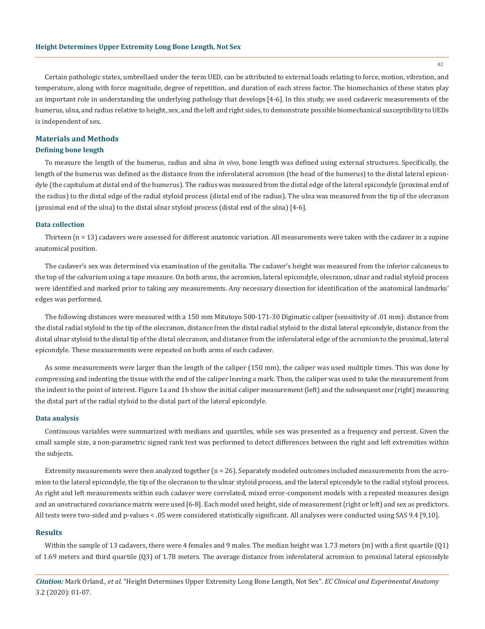Certain pathologic states, umbrellaed under the term UED, can be attributed to external loads relating to force, motion, vibration, and temperature, along with force magnitude, degree of repetition, and duration of each stress factor. The biomechanics of these states play an important role in understanding the underlying pathology that develops [4-6]. In this study, we used cadaveric measurements of the humerus, ulna, and radius relative to height, sex, and the left and right sides, to demonstrate possible biomechanical susceptibility to UEDs is independent of sex.

# **Materials and Methods**

#### **Defining bone length**

To measure the length of the humerus, radius and ulna *in vivo*, bone length was defined using external structures. Specifically, the length of the humerus was defined as the distance from the inferolateral acromion (the head of the humerus) to the distal lateral epicondyle (the capitulum at distal end of the humerus). The radius was measured from the distal edge of the lateral epicondyle (proximal end of the radius) to the distal edge of the radial styloid process (distal end of the radius). The ulna was measured from the tip of the olecranon (proximal end of the ulna) to the distal ulnar styloid process (distal end of the ulna) [4-6].

#### **Data collection**

Thirteen (n = 13) cadavers were assessed for different anatomic variation. All measurements were taken with the cadaver in a supine anatomical position.

The cadaver's sex was determined via examination of the genitalia. The cadaver's height was measured from the inferior calcaneus to the top of the calvarium using a tape measure. On both arms, the acromion, lateral epicondyle, olecranon, ulnar and radial styloid process were identified and marked prior to taking any measurements. Any necessary dissection for identification of the anatomical landmarks' edges was performed.

The following distances were measured with a 150 mm Mitutoyo 500-171-30 Digimatic caliper (sensitivity of .01 mm): distance from the distal radial styloid to the tip of the olecranon, distance from the distal radial styloid to the distal lateral epicondyle, distance from the distal ulnar styloid to the distal tip of the distal olecranon, and distance from the inferolateral edge of the acromion to the proximal, lateral epicondyle. These measurements were repeated on both arms of each cadaver.

As some measurements were larger than the length of the caliper (150 mm), the caliper was used multiple times. This was done by compressing and indenting the tissue with the end of the caliper leaving a mark. Then, the caliper was used to take the measurement from the indent to the point of interest. Figure 1a and 1b show the initial caliper measurement (left) and the subsequent one (right) measuring the distal part of the radial styloid to the distal part of the lateral epicondyle.

#### **Data analysis**

Continuous variables were summarized with medians and quartiles, while sex was presented as a frequency and percent. Given the small sample size, a non-parametric signed rank test was performed to detect differences between the right and left extremities within the subjects.

Extremity measurements were then analyzed together (n = 26). Separately modeled outcomes included measurements from the acromion to the lateral epicondyle, the tip of the olecranon to the ulnar styloid process, and the lateral epicondyle to the radial styloid process. As right and left measurements within each cadaver were correlated, mixed error-component models with a repeated measures design and an unstructured covariance matrix were used[6-8]. Each model used height, side of measurement (right or left) and sex as predictors. All tests were two-sided and p-values < .05 were considered statistically significant. All analyses were conducted using SAS 9.4 [9,10].

#### **Results**

Within the sample of 13 cadavers, there were 4 females and 9 males. The median height was 1.73 meters (m) with a first quartile (Q1) of 1.69 meters and third quartile (Q3) of 1.78 meters. The average distance from inferolateral acromion to proximal lateral epicondyle

*Citation:* Mark Orland*., et al.* "Height Determines Upper Extremity Long Bone Length, Not Sex". *EC Clinical and Experimental Anatomy*  3.2 (2020): 01-07.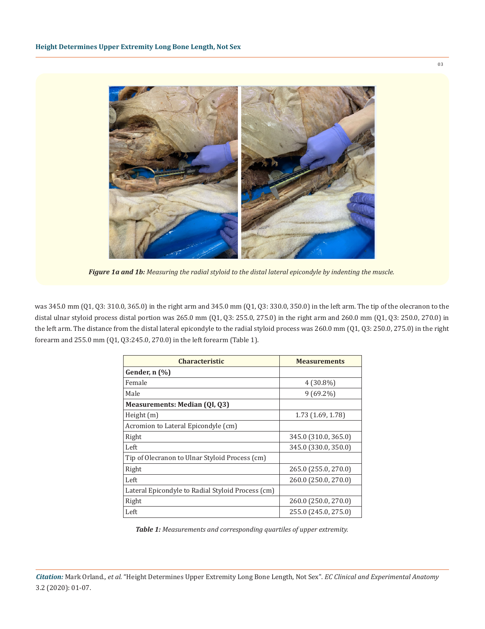

*Figure 1a and 1b: Measuring the radial styloid to the distal lateral epicondyle by indenting the muscle.*

was 345.0 mm (Q1, Q3: 310.0, 365.0) in the right arm and 345.0 mm (Q1, Q3: 330.0, 350.0) in the left arm. The tip of the olecranon to the distal ulnar styloid process distal portion was 265.0 mm (Q1, Q3: 255.0, 275.0) in the right arm and 260.0 mm (Q1, Q3: 250.0, 270.0) in the left arm. The distance from the distal lateral epicondyle to the radial styloid process was 260.0 mm (Q1, Q3: 250.0, 275.0) in the right forearm and 255.0 mm (Q1, Q3:245.0, 270.0) in the left forearm (Table 1).

| <b>Characteristic</b>                             | <b>Measurements</b>  |
|---------------------------------------------------|----------------------|
| Gender, n (%)                                     |                      |
| Female                                            | $4(30.8\%)$          |
| Male                                              | $9(69.2\%)$          |
| <b>Measurements: Median (QI, Q3)</b>              |                      |
| Height $(m)$                                      | 1.73 (1.69, 1.78)    |
| Acromion to Lateral Epicondyle (cm)               |                      |
| Right                                             | 345.0 (310.0, 365.0) |
| Left                                              | 345.0 (330.0, 350.0) |
| Tip of Olecranon to Ulnar Styloid Process (cm)    |                      |
| Right                                             | 265.0 (255.0, 270.0) |
| Left                                              | 260.0 (250.0, 270.0) |
| Lateral Epicondyle to Radial Styloid Process (cm) |                      |
| Right                                             | 260.0 (250.0, 270.0) |
| Left                                              | 255.0 (245.0, 275.0) |

*Table 1: Measurements and corresponding quartiles of upper extremity.*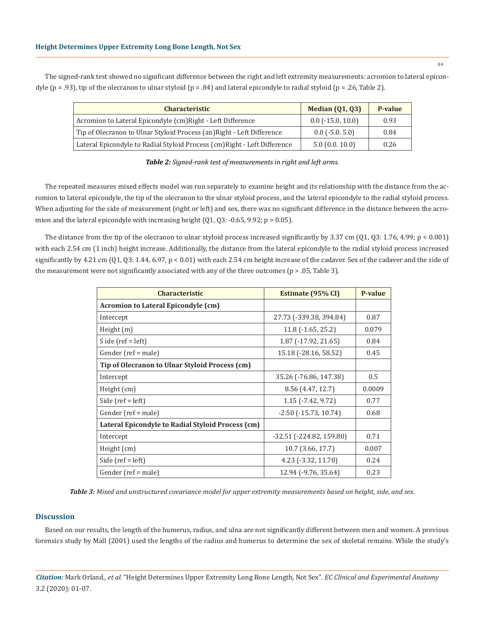The signed-rank test showed no significant difference between the right and left extremity measurements: acromion to lateral epicondyle ( $p = .93$ ), tip of the olecranon to ulnar styloid ( $p = .84$ ) and lateral epicondyle to radial styloid ( $p = .26$ , Table 2).

| <b>Characteristic</b>                                                     | <b>Median (01, 03)</b>     | P-value |
|---------------------------------------------------------------------------|----------------------------|---------|
| Acromion to Lateral Epicondyle (cm) Right - Left Difference               | $0.0$ ( $-15.0$ , $10.0$ ) | 0.93    |
| Tip of Olecranon to Ulnar Styloid Process (an) Right - Left Difference    | $0.0$ ( $-5.0.5.0$ )       | 0.84    |
| Lateral Epicondyle to Radial Styloid Process (cm) Right - Left Difference | 5.0(0.0.10.0)              | 0.26    |

The repeated measures mixed effects model was run separately to examine height and its relationship with the distance from the acromion to lateral epicondyle, the tip of the olecranon to the ulnar styloid process, and the lateral epicondyle to the radial styloid process. When adjusting for the side of measurement (right or left) and sex, there was no significant difference in the distance between the acromion and the lateral epicondyle with increasing height  $(01, 03: -0.65, 9.92; p > 0.05)$ .

The distance from the tip of the olecranon to ulnar styloid process increased significantly by 3.37 cm (Q1, Q3: 1.76, 4.99; p < 0.001) with each 2.54 cm (1 inch) height increase. Additionally, the distance from the lateral epicondyle to the radial styloid process increased significantly by 4.21 cm  $(Q1, Q3: 1.44, 6.97, p < 0.01)$  with each 2.54 cm height increase of the cadaver. Sex of the cadaver and the side of the measurement were not significantly associated with any of the three outcomes (p > .05, Table 3).

| <b>Characteristic</b>                             | Estimate (95% CI)              | <b>P-value</b> |
|---------------------------------------------------|--------------------------------|----------------|
| Acromion to Lateral Epicondyle (cm)               |                                |                |
| Intercept                                         | 27.73 (-339.38, 394.84)        | 0.87           |
| Height $(m)$                                      | $11.8$ ( $-1.65$ , $25.2$ )    | 0.079          |
| S ide (ref = $left)$ )                            | $1.87$ ( $-17.92$ , $21.65$ )  | 0.84           |
| Gender (ref = male)                               | 15.18 (-28.16, 58.52)          | 0.45           |
| Tip of Olecranon to Ulnar Styloid Process (cm)    |                                |                |
| Intercept                                         | 35.26 (-76.86, 147.38)         | 0.5            |
| Height (cm)                                       | 8.56 (4.47, 12.7)              | 0.0009         |
| Side $(\text{ref} = \text{left})$                 | $1.15$ ( $-7.42$ , $9.72$ )    | 0.77           |
| Gender (ref = male)                               | $-2.50$ ( $-15.73$ , $10.74$ ) | 0.68           |
| Lateral Epicondyle to Radial Styloid Process (cm) |                                |                |
| Intercept                                         | $-32.51$ ( $-224.82$ , 159.80) | 0.71           |
| Height (cm)                                       | 10.7 (3.66, 17.7)              | 0.007          |
| Side ( $ref = left$ )                             | $4.23$ ( $-3.32$ , 11.78)      | 0.24           |
| Gender (ref = male)                               | 12.94 (-9.76, 35.64)           | 0.23           |

*Table 3: Mixed and unstructured covariance model for upper extremity measurements based on height, side, and sex.*

# **Discussion**

Based on our results, the length of the humerus, radius, and ulna are not significantly different between men and women. A previous forensics study by Mall (2001) used the lengths of the radius and humerus to determine the sex of skeletal remains. While the study's

*Citation:* Mark Orland*., et al.* "Height Determines Upper Extremity Long Bone Length, Not Sex". *EC Clinical and Experimental Anatomy*  3.2 (2020): 01-07.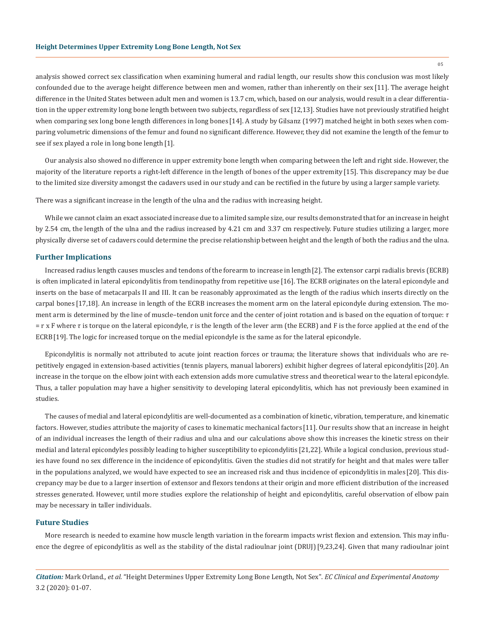analysis showed correct sex classification when examining humeral and radial length, our results show this conclusion was most likely confounded due to the average height difference between men and women, rather than inherently on their sex [11]. The average height difference in the United States between adult men and women is 13.7 cm, which, based on our analysis, would result in a clear differentiation in the upper extremity long bone length between two subjects, regardless of sex[12,13]. Studies have not previously stratified height when comparing sex long bone length differences in long bones [14]. A study by Gilsanz (1997) matched height in both sexes when comparing volumetric dimensions of the femur and found no significant difference. However, they did not examine the length of the femur to see if sex played a role in long bone length [1].

Our analysis also showed no difference in upper extremity bone length when comparing between the left and right side. However, the majority of the literature reports a right-left difference in the length of bones of the upper extremity [15]. This discrepancy may be due to the limited size diversity amongst the cadavers used in our study and can be rectified in the future by using a larger sample variety.

There was a significant increase in the length of the ulna and the radius with increasing height.

While we cannot claim an exact associated increase due to a limited sample size, our results demonstrated that for an increase in height by 2.54 cm, the length of the ulna and the radius increased by 4.21 cm and 3.37 cm respectively. Future studies utilizing a larger, more physically diverse set of cadavers could determine the precise relationship between height and the length of both the radius and the ulna.

#### **Further Implications**

Increased radius length causes muscles and tendons of the forearm to increase in length[2]. The extensor carpi radialis brevis (ECRB) is often implicated in lateral epicondylitis from tendinopathy from repetitive use [16]. The ECRB originates on the lateral epicondyle and inserts on the base of metacarpals II and III. It can be reasonably approximated as the length of the radius which inserts directly on the carpal bones [17,18]. An increase in length of the ECRB increases the moment arm on the lateral epicondyle during extension. The moment arm is determined by the line of muscle-tendon unit force and the center of joint rotation and is based on the equation of torque:  $\tau$  $=$  r x F where  $\tau$  is torque on the lateral epicondyle, r is the length of the lever arm (the ECRB) and F is the force applied at the end of the ECRB[19]. The logic for increased torque on the medial epicondyle is the same as for the lateral epicondyle.

Epicondylitis is normally not attributed to acute joint reaction forces or trauma; the literature shows that individuals who are repetitively engaged in extension-based activities (tennis players, manual laborers) exhibit higher degrees of lateral epicondylitis [20]. An increase in the torque on the elbow joint with each extension adds more cumulative stress and theoretical wear to the lateral epicondyle. Thus, a taller population may have a higher sensitivity to developing lateral epicondylitis, which has not previously been examined in studies.

The causes of medial and lateral epicondylitis are well-documented as a combination of kinetic, vibration, temperature, and kinematic factors. However, studies attribute the majority of cases to kinematic mechanical factors [11]. Our results show that an increase in height of an individual increases the length of their radius and ulna and our calculations above show this increases the kinetic stress on their medial and lateral epicondyles possibly leading to higher susceptibility to epicondylitis [21,22]. While a logical conclusion, previous studies have found no sex difference in the incidence of epicondylitis. Given the studies did not stratify for height and that males were taller in the populations analyzed, we would have expected to see an increased risk and thus incidence of epicondylitis in males [20]. This discrepancy may be due to a larger insertion of extensor and flexors tendons at their origin and more efficient distribution of the increased stresses generated. However, until more studies explore the relationship of height and epicondylitis, careful observation of elbow pain may be necessary in taller individuals.

#### **Future Studies**

More research is needed to examine how muscle length variation in the forearm impacts wrist flexion and extension. This may influence the degree of epicondylitis as well as the stability of the distal radioulnar joint (DRUJ)[9,23,24]. Given that many radioulnar joint

*Citation:* Mark Orland*., et al.* "Height Determines Upper Extremity Long Bone Length, Not Sex". *EC Clinical and Experimental Anatomy*  3.2 (2020): 01-07.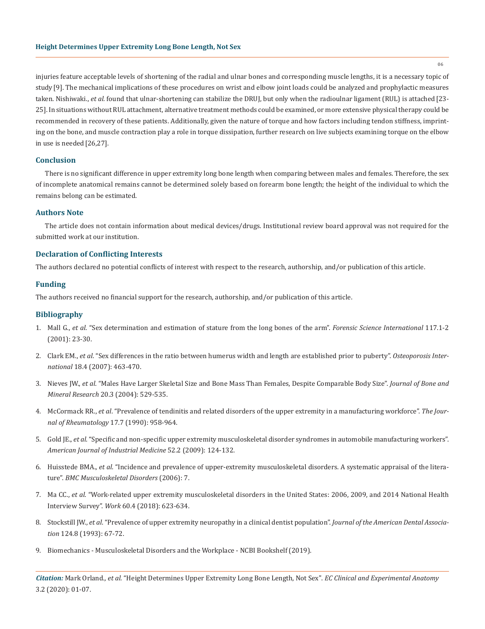injuries feature acceptable levels of shortening of the radial and ulnar bones and corresponding muscle lengths, it is a necessary topic of study [9]. The mechanical implications of these procedures on wrist and elbow joint loads could be analyzed and prophylactic measures taken. Nishiwaki., *et al.* found that ulnar-shortening can stabilize the DRUJ, but only when the radioulnar ligament (RUL) is attached[23- 25]. In situations without RUL attachment, alternative treatment methods could be examined, or more extensive physical therapy could be recommended in recovery of these patients. Additionally, given the nature of torque and how factors including tendon stiffness, imprinting on the bone, and muscle contraction play a role in torque dissipation, further research on live subjects examining torque on the elbow in use is needed[26,27].

# **Conclusion**

There is no significant difference in upper extremity long bone length when comparing between males and females. Therefore, the sex of incomplete anatomical remains cannot be determined solely based on forearm bone length; the height of the individual to which the remains belong can be estimated.

### **Authors Note**

The article does not contain information about medical devices/drugs. Institutional review board approval was not required for the submitted work at our institution.

# **Declaration of Conflicting Interests**

The authors declared no potential conflicts of interest with respect to the research, authorship, and/or publication of this article.

### **Funding**

The authors received no financial support for the research, authorship, and/or publication of this article.

#### **Bibliography**

- 1. Mall G., *et al*[. "Sex determination and estimation of stature from the long bones of the arm".](https://www.sciencedirect.com/science/article/pii/S037907380000445X) *Forensic Science International* 117.1-2 [\(2001\): 23-30.](https://www.sciencedirect.com/science/article/pii/S037907380000445X)
- 2. Clark EM., *et al*[. "Sex differences in the ratio between humerus width and length are established prior to puberty".](https://www.ncbi.nlm.nih.gov/pubmed/17124553) *Osteoporosis International* [18.4 \(2007\): 463-470.](https://www.ncbi.nlm.nih.gov/pubmed/17124553)
- 3. Nieves JW., *et al*[. "Males Have Larger Skeletal Size and Bone Mass Than Females, Despite Comparable Body Size".](https://www.ncbi.nlm.nih.gov/pubmed/15746999) *Journal of Bone and Mineral Research* [20.3 \(2004\): 529-535.](https://www.ncbi.nlm.nih.gov/pubmed/15746999)
- 4. McCormack RR., *et al*[. "Prevalence of tendinitis and related disorders of the upper extremity in a manufacturing workforce".](https://www.ncbi.nlm.nih.gov/pubmed/2213764) *The Jour[nal of Rheumatology](https://www.ncbi.nlm.nih.gov/pubmed/2213764)* 17.7 (1990): 958-964.
- 5. Gold JE., *et al*[. "Specific and non-specific upper extremity musculoskeletal disorder syndromes in automobile manufacturing workers".](https://www.ncbi.nlm.nih.gov/pubmed/19016265)  *[American Journal of Industrial Medicine](https://www.ncbi.nlm.nih.gov/pubmed/19016265)* 52.2 (2009): 124-132.
- 6. Huisstede BMA., *et al*[. "Incidence and prevalence of upper-extremity musculoskeletal disorders. A systematic appraisal of the litera](https://www.ncbi.nlm.nih.gov/pubmed/16448572)ture". *[BMC Musculoskeletal Disorders](https://www.ncbi.nlm.nih.gov/pubmed/16448572)* (2006): 7.
- 7. Ma CC., *et al*[. "Work-related upper extremity musculoskeletal disorders in the United States: 2006, 2009, and 2014 National Health](https://www.ncbi.nlm.nih.gov/pubmed/30124463)  Interview Survey". *Work* [60.4 \(2018\): 623-634.](https://www.ncbi.nlm.nih.gov/pubmed/30124463)
- 8. Stockstill JW., *et al*[. "Prevalence of upper extremity neuropathy in a clinical dentist population".](https://www.ncbi.nlm.nih.gov/pubmed/8354786) *Journal of the American Dental Association* [124.8 \(1993\): 67-72.](https://www.ncbi.nlm.nih.gov/pubmed/8354786)
- 9. Biomechanics Musculoskeletal Disorders and the Workplace NCBI Bookshelf (2019).

*Citation:* Mark Orland*., et al.* "Height Determines Upper Extremity Long Bone Length, Not Sex". *EC Clinical and Experimental Anatomy*  3.2 (2020): 01-07.